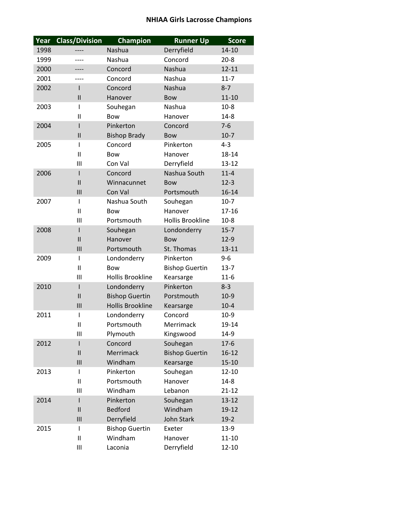## **NHIAA Girls Lacrosse Champions**

| Year                                 | <b>Class/Division</b>                                                                                                                           | <b>Champion</b>                                                                                                                                                                                                                                                | <b>Runner Up</b>                                                                                                                                                                                                         | <b>Score</b>                                                                                                                                                                        |
|--------------------------------------|-------------------------------------------------------------------------------------------------------------------------------------------------|----------------------------------------------------------------------------------------------------------------------------------------------------------------------------------------------------------------------------------------------------------------|--------------------------------------------------------------------------------------------------------------------------------------------------------------------------------------------------------------------------|-------------------------------------------------------------------------------------------------------------------------------------------------------------------------------------|
| 1998                                 |                                                                                                                                                 | Nashua                                                                                                                                                                                                                                                         | Derryfield                                                                                                                                                                                                               | 14-10                                                                                                                                                                               |
| 1999                                 |                                                                                                                                                 | Nashua                                                                                                                                                                                                                                                         | Concord                                                                                                                                                                                                                  | $20 - 8$                                                                                                                                                                            |
| 2000                                 |                                                                                                                                                 | Concord                                                                                                                                                                                                                                                        | Nashua                                                                                                                                                                                                                   | $12 - 11$                                                                                                                                                                           |
| 2001                                 |                                                                                                                                                 | Concord                                                                                                                                                                                                                                                        | Nashua                                                                                                                                                                                                                   | $11 - 7$                                                                                                                                                                            |
| 2002                                 | I                                                                                                                                               | Concord                                                                                                                                                                                                                                                        | Nashua                                                                                                                                                                                                                   | $8 - 7$                                                                                                                                                                             |
|                                      | $\mathsf{II}$                                                                                                                                   | Hanover                                                                                                                                                                                                                                                        | <b>Bow</b>                                                                                                                                                                                                               | $11 - 10$                                                                                                                                                                           |
| 2003                                 | ı                                                                                                                                               | Souhegan                                                                                                                                                                                                                                                       | Nashua                                                                                                                                                                                                                   | $10-8$                                                                                                                                                                              |
|                                      | $\mathsf{II}$                                                                                                                                   | Bow                                                                                                                                                                                                                                                            | Hanover                                                                                                                                                                                                                  | $14 - 8$                                                                                                                                                                            |
| 2004                                 | I                                                                                                                                               | Pinkerton                                                                                                                                                                                                                                                      | Concord                                                                                                                                                                                                                  | $7 - 6$                                                                                                                                                                             |
|                                      | $\mathsf{II}$                                                                                                                                   | <b>Bishop Brady</b>                                                                                                                                                                                                                                            | <b>Bow</b>                                                                                                                                                                                                               | $10-7$                                                                                                                                                                              |
| 2005                                 | I                                                                                                                                               | Concord                                                                                                                                                                                                                                                        | Pinkerton                                                                                                                                                                                                                | $4 - 3$                                                                                                                                                                             |
|                                      | $\mathsf{II}$                                                                                                                                   | Bow                                                                                                                                                                                                                                                            | Hanover                                                                                                                                                                                                                  | 18-14                                                                                                                                                                               |
|                                      | Ш                                                                                                                                               | Con Val                                                                                                                                                                                                                                                        | Derryfield                                                                                                                                                                                                               | $13 - 12$                                                                                                                                                                           |
| 2006                                 | I                                                                                                                                               | Concord                                                                                                                                                                                                                                                        | Nashua South                                                                                                                                                                                                             | $11 - 4$                                                                                                                                                                            |
|                                      | $\mathbf{I}$                                                                                                                                    | Winnacunnet                                                                                                                                                                                                                                                    | <b>Bow</b>                                                                                                                                                                                                               | $12 - 3$                                                                                                                                                                            |
|                                      | III                                                                                                                                             | Con Val                                                                                                                                                                                                                                                        | Portsmouth                                                                                                                                                                                                               | $16 - 14$                                                                                                                                                                           |
| 2007                                 | I                                                                                                                                               | Nashua South                                                                                                                                                                                                                                                   | Souhegan                                                                                                                                                                                                                 | $10-7$                                                                                                                                                                              |
|                                      | $\mathsf{II}$                                                                                                                                   | <b>Bow</b>                                                                                                                                                                                                                                                     | Hanover                                                                                                                                                                                                                  | $17 - 16$                                                                                                                                                                           |
|                                      | Ш                                                                                                                                               | Portsmouth                                                                                                                                                                                                                                                     | <b>Hollis Brookline</b>                                                                                                                                                                                                  | $10-8$                                                                                                                                                                              |
| 2008                                 | I                                                                                                                                               | Souhegan                                                                                                                                                                                                                                                       | Londonderry                                                                                                                                                                                                              | $15 - 7$                                                                                                                                                                            |
|                                      | $\mathsf{II}$                                                                                                                                   | Hanover                                                                                                                                                                                                                                                        | <b>Bow</b>                                                                                                                                                                                                               | $12-9$                                                                                                                                                                              |
|                                      | III                                                                                                                                             | Portsmouth                                                                                                                                                                                                                                                     | St. Thomas                                                                                                                                                                                                               | $13 - 11$                                                                                                                                                                           |
| 2009                                 | I                                                                                                                                               | Londonderry                                                                                                                                                                                                                                                    | Pinkerton                                                                                                                                                                                                                | $9 - 6$                                                                                                                                                                             |
|                                      | $\mathsf{II}$                                                                                                                                   | <b>Bow</b>                                                                                                                                                                                                                                                     | <b>Bishop Guertin</b>                                                                                                                                                                                                    | $13 - 7$                                                                                                                                                                            |
|                                      | Ш                                                                                                                                               | <b>Hollis Brookline</b>                                                                                                                                                                                                                                        | Kearsarge                                                                                                                                                                                                                | $11 - 6$                                                                                                                                                                            |
| 2010                                 | I                                                                                                                                               | Londonderry                                                                                                                                                                                                                                                    | Pinkerton                                                                                                                                                                                                                | $8 - 3$                                                                                                                                                                             |
|                                      |                                                                                                                                                 |                                                                                                                                                                                                                                                                |                                                                                                                                                                                                                          |                                                                                                                                                                                     |
|                                      |                                                                                                                                                 |                                                                                                                                                                                                                                                                |                                                                                                                                                                                                                          |                                                                                                                                                                                     |
|                                      |                                                                                                                                                 |                                                                                                                                                                                                                                                                |                                                                                                                                                                                                                          |                                                                                                                                                                                     |
|                                      |                                                                                                                                                 |                                                                                                                                                                                                                                                                |                                                                                                                                                                                                                          |                                                                                                                                                                                     |
|                                      |                                                                                                                                                 |                                                                                                                                                                                                                                                                |                                                                                                                                                                                                                          |                                                                                                                                                                                     |
|                                      |                                                                                                                                                 |                                                                                                                                                                                                                                                                |                                                                                                                                                                                                                          |                                                                                                                                                                                     |
|                                      |                                                                                                                                                 |                                                                                                                                                                                                                                                                |                                                                                                                                                                                                                          |                                                                                                                                                                                     |
|                                      |                                                                                                                                                 |                                                                                                                                                                                                                                                                |                                                                                                                                                                                                                          |                                                                                                                                                                                     |
|                                      |                                                                                                                                                 |                                                                                                                                                                                                                                                                |                                                                                                                                                                                                                          |                                                                                                                                                                                     |
|                                      |                                                                                                                                                 |                                                                                                                                                                                                                                                                |                                                                                                                                                                                                                          |                                                                                                                                                                                     |
|                                      |                                                                                                                                                 |                                                                                                                                                                                                                                                                |                                                                                                                                                                                                                          |                                                                                                                                                                                     |
|                                      |                                                                                                                                                 |                                                                                                                                                                                                                                                                |                                                                                                                                                                                                                          |                                                                                                                                                                                     |
|                                      |                                                                                                                                                 |                                                                                                                                                                                                                                                                |                                                                                                                                                                                                                          |                                                                                                                                                                                     |
|                                      |                                                                                                                                                 |                                                                                                                                                                                                                                                                |                                                                                                                                                                                                                          |                                                                                                                                                                                     |
|                                      |                                                                                                                                                 |                                                                                                                                                                                                                                                                |                                                                                                                                                                                                                          |                                                                                                                                                                                     |
|                                      |                                                                                                                                                 |                                                                                                                                                                                                                                                                |                                                                                                                                                                                                                          |                                                                                                                                                                                     |
| 2011<br>2012<br>2013<br>2014<br>2015 | $\mathbf{I}$<br>III<br>I<br>Ш<br>Ш<br>I<br>$\mathsf{II}$<br>III<br>L<br>$\mathsf{II}$<br>Ш<br>I<br>$\mathbf{I}$<br>Ш<br>I<br>$\mathsf{II}$<br>Ш | <b>Bishop Guertin</b><br><b>Hollis Brookline</b><br>Londonderry<br>Portsmouth<br>Plymouth<br>Concord<br>Merrimack<br>Windham<br>Pinkerton<br>Portsmouth<br>Windham<br>Pinkerton<br><b>Bedford</b><br>Derryfield<br><b>Bishop Guertin</b><br>Windham<br>Laconia | Porstmouth<br>Kearsarge<br>Concord<br>Merrimack<br>Kingswood<br>Souhegan<br><b>Bishop Guertin</b><br>Kearsarge<br>Souhegan<br>Hanover<br>Lebanon<br>Souhegan<br>Windham<br>John Stark<br>Exeter<br>Hanover<br>Derryfield | $10-9$<br>$10 - 4$<br>$10-9$<br>19-14<br>14-9<br>$17-6$<br>$16 - 12$<br>$15 - 10$<br>$12 - 10$<br>$14 - 8$<br>$21 - 12$<br>$13 - 12$<br>19-12<br>$19-2$<br>$13-9$<br>11-10<br>12-10 |